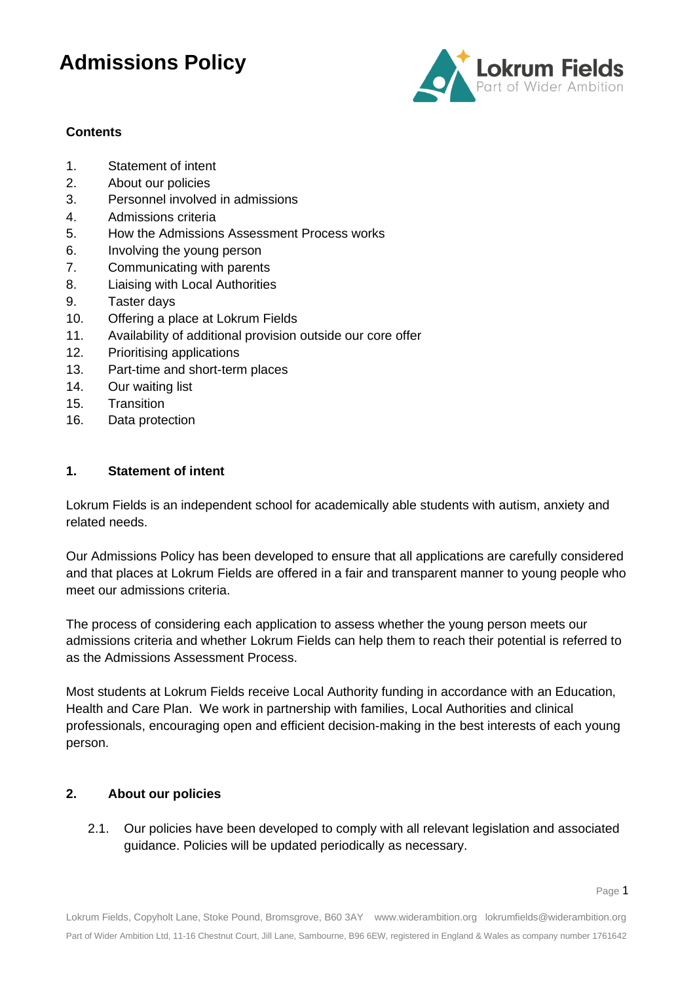

### **Contents**

- 1. Statement of intent
- 2. About our policies
- 3. Personnel involved in admissions
- 4. Admissions criteria
- 5. How the Admissions Assessment Process works
- 6. Involving the young person
- 7. Communicating with parents
- 8. Liaising with Local Authorities
- 9. Taster days
- 10. Offering a place at Lokrum Fields
- 11. Availability of additional provision outside our core offer
- 12. Prioritising applications
- 13. Part-time and short-term places
- 14. Our waiting list
- 15. Transition
- 16. Data protection

### **1. Statement of intent**

Lokrum Fields is an independent school for academically able students with autism, anxiety and related needs.

Our Admissions Policy has been developed to ensure that all applications are carefully considered and that places at Lokrum Fields are offered in a fair and transparent manner to young people who meet our admissions criteria.

The process of considering each application to assess whether the young person meets our admissions criteria and whether Lokrum Fields can help them to reach their potential is referred to as the Admissions Assessment Process.

Most students at Lokrum Fields receive Local Authority funding in accordance with an Education, Health and Care Plan. We work in partnership with families, Local Authorities and clinical professionals, encouraging open and efficient decision-making in the best interests of each young person.

### **2. About our policies**

2.1. Our policies have been developed to comply with all relevant legislation and associated guidance. Policies will be updated periodically as necessary.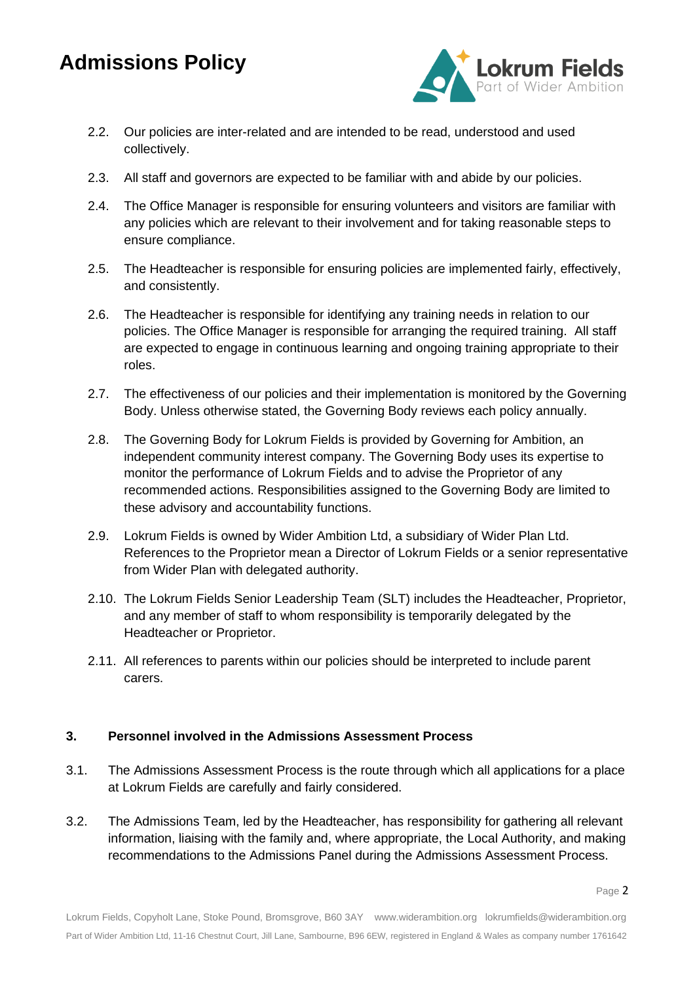

- 2.2. Our policies are inter-related and are intended to be read, understood and used collectively.
- 2.3. All staff and governors are expected to be familiar with and abide by our policies.
- 2.4. The Office Manager is responsible for ensuring volunteers and visitors are familiar with any policies which are relevant to their involvement and for taking reasonable steps to ensure compliance.
- 2.5. The Headteacher is responsible for ensuring policies are implemented fairly, effectively, and consistently.
- 2.6. The Headteacher is responsible for identifying any training needs in relation to our policies. The Office Manager is responsible for arranging the required training. All staff are expected to engage in continuous learning and ongoing training appropriate to their roles.
- 2.7. The effectiveness of our policies and their implementation is monitored by the Governing Body. Unless otherwise stated, the Governing Body reviews each policy annually.
- 2.8. The Governing Body for Lokrum Fields is provided by Governing for Ambition, an independent community interest company. The Governing Body uses its expertise to monitor the performance of Lokrum Fields and to advise the Proprietor of any recommended actions. Responsibilities assigned to the Governing Body are limited to these advisory and accountability functions.
- 2.9. Lokrum Fields is owned by Wider Ambition Ltd, a subsidiary of Wider Plan Ltd. References to the Proprietor mean a Director of Lokrum Fields or a senior representative from Wider Plan with delegated authority.
- 2.10. The Lokrum Fields Senior Leadership Team (SLT) includes the Headteacher, Proprietor, and any member of staff to whom responsibility is temporarily delegated by the Headteacher or Proprietor.
- 2.11. All references to parents within our policies should be interpreted to include parent carers.

### **3. Personnel involved in the Admissions Assessment Process**

- 3.1. The Admissions Assessment Process is the route through which all applications for a place at Lokrum Fields are carefully and fairly considered.
- 3.2. The Admissions Team, led by the Headteacher, has responsibility for gathering all relevant information, liaising with the family and, where appropriate, the Local Authority, and making recommendations to the Admissions Panel during the Admissions Assessment Process.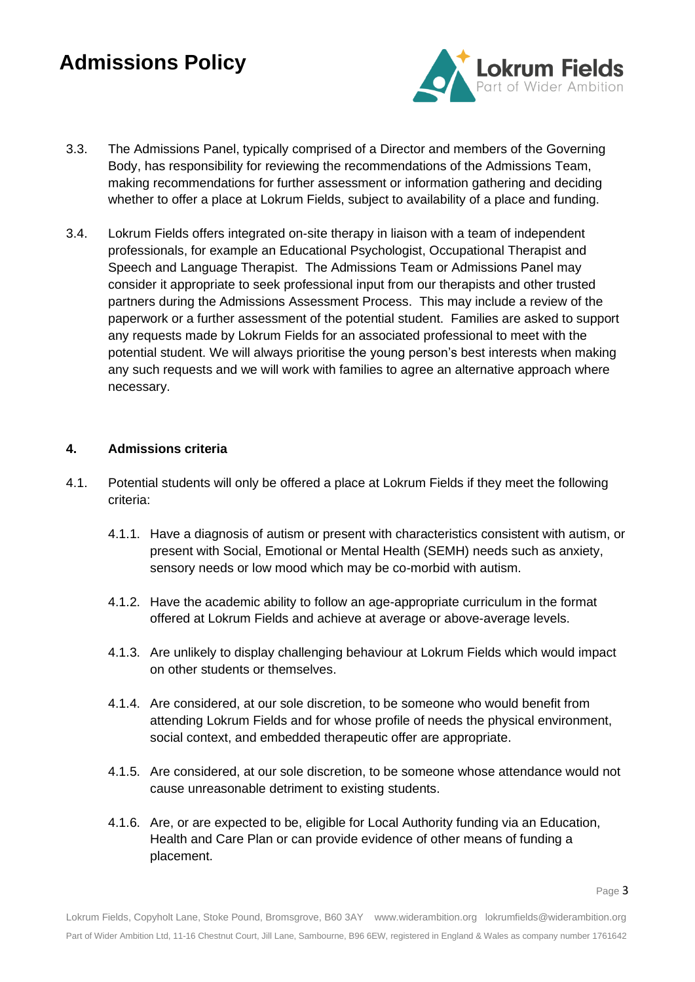

- 3.3. The Admissions Panel, typically comprised of a Director and members of the Governing Body, has responsibility for reviewing the recommendations of the Admissions Team, making recommendations for further assessment or information gathering and deciding whether to offer a place at Lokrum Fields, subject to availability of a place and funding.
- 3.4. Lokrum Fields offers integrated on-site therapy in liaison with a team of independent professionals, for example an Educational Psychologist, Occupational Therapist and Speech and Language Therapist. The Admissions Team or Admissions Panel may consider it appropriate to seek professional input from our therapists and other trusted partners during the Admissions Assessment Process. This may include a review of the paperwork or a further assessment of the potential student. Families are asked to support any requests made by Lokrum Fields for an associated professional to meet with the potential student. We will always prioritise the young person's best interests when making any such requests and we will work with families to agree an alternative approach where necessary.

### **4. Admissions criteria**

- 4.1. Potential students will only be offered a place at Lokrum Fields if they meet the following criteria:
	- 4.1.1. Have a diagnosis of autism or present with characteristics consistent with autism, or present with Social, Emotional or Mental Health (SEMH) needs such as anxiety, sensory needs or low mood which may be co-morbid with autism.
	- 4.1.2. Have the academic ability to follow an age-appropriate curriculum in the format offered at Lokrum Fields and achieve at average or above-average levels.
	- 4.1.3. Are unlikely to display challenging behaviour at Lokrum Fields which would impact on other students or themselves.
	- 4.1.4. Are considered, at our sole discretion, to be someone who would benefit from attending Lokrum Fields and for whose profile of needs the physical environment, social context, and embedded therapeutic offer are appropriate.
	- 4.1.5. Are considered, at our sole discretion, to be someone whose attendance would not cause unreasonable detriment to existing students.
	- 4.1.6. Are, or are expected to be, eligible for Local Authority funding via an Education, Health and Care Plan or can provide evidence of other means of funding a placement.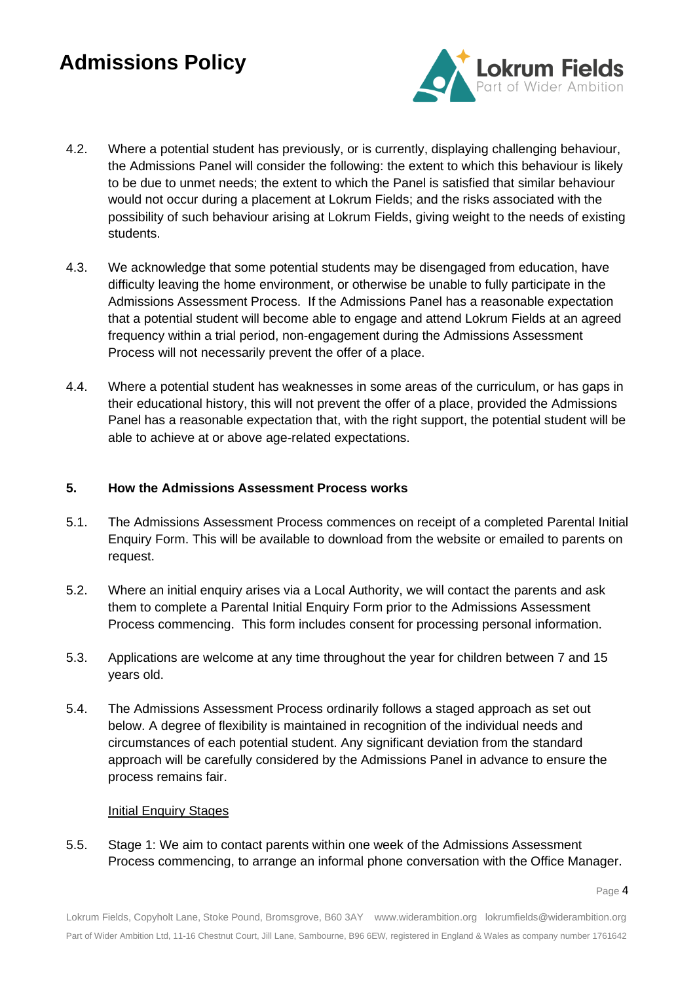

- 4.2. Where a potential student has previously, or is currently, displaying challenging behaviour, the Admissions Panel will consider the following: the extent to which this behaviour is likely to be due to unmet needs; the extent to which the Panel is satisfied that similar behaviour would not occur during a placement at Lokrum Fields; and the risks associated with the possibility of such behaviour arising at Lokrum Fields, giving weight to the needs of existing students.
- 4.3. We acknowledge that some potential students may be disengaged from education, have difficulty leaving the home environment, or otherwise be unable to fully participate in the Admissions Assessment Process. If the Admissions Panel has a reasonable expectation that a potential student will become able to engage and attend Lokrum Fields at an agreed frequency within a trial period, non-engagement during the Admissions Assessment Process will not necessarily prevent the offer of a place.
- 4.4. Where a potential student has weaknesses in some areas of the curriculum, or has gaps in their educational history, this will not prevent the offer of a place, provided the Admissions Panel has a reasonable expectation that, with the right support, the potential student will be able to achieve at or above age-related expectations.

#### **5. How the Admissions Assessment Process works**

- 5.1. The Admissions Assessment Process commences on receipt of a completed Parental Initial Enquiry Form. This will be available to download from the website or emailed to parents on request.
- 5.2. Where an initial enquiry arises via a Local Authority, we will contact the parents and ask them to complete a Parental Initial Enquiry Form prior to the Admissions Assessment Process commencing. This form includes consent for processing personal information.
- 5.3. Applications are welcome at any time throughout the year for children between 7 and 15 years old.
- 5.4. The Admissions Assessment Process ordinarily follows a staged approach as set out below. A degree of flexibility is maintained in recognition of the individual needs and circumstances of each potential student. Any significant deviation from the standard approach will be carefully considered by the Admissions Panel in advance to ensure the process remains fair.

#### Initial Enquiry Stages

5.5. Stage 1: We aim to contact parents within one week of the Admissions Assessment Process commencing, to arrange an informal phone conversation with the Office Manager.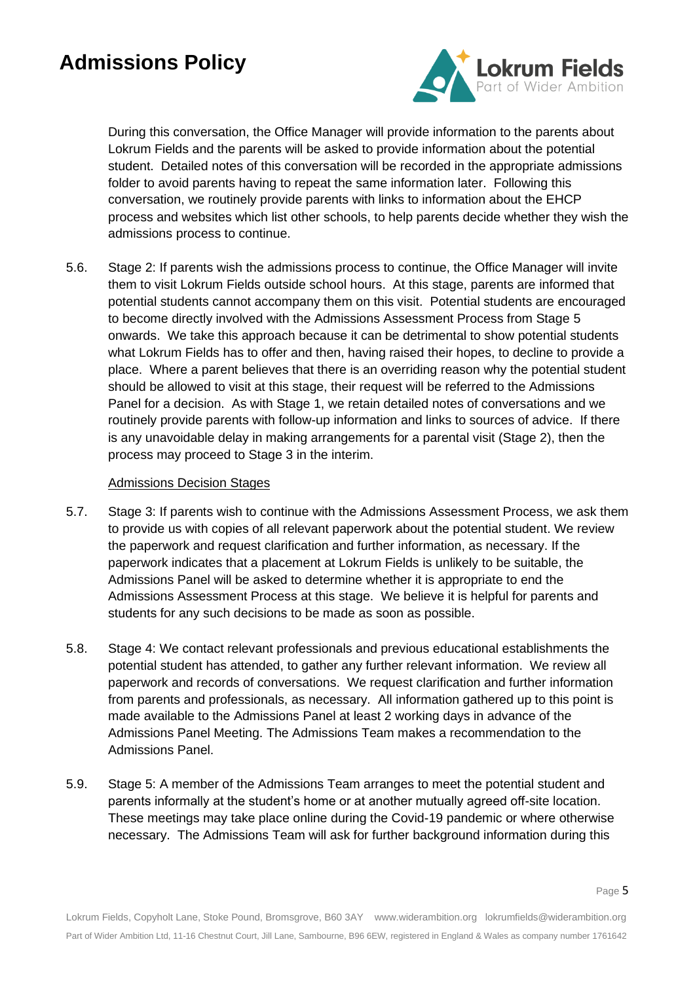

During this conversation, the Office Manager will provide information to the parents about Lokrum Fields and the parents will be asked to provide information about the potential student. Detailed notes of this conversation will be recorded in the appropriate admissions folder to avoid parents having to repeat the same information later. Following this conversation, we routinely provide parents with links to information about the EHCP process and websites which list other schools, to help parents decide whether they wish the admissions process to continue.

5.6. Stage 2: If parents wish the admissions process to continue, the Office Manager will invite them to visit Lokrum Fields outside school hours. At this stage, parents are informed that potential students cannot accompany them on this visit. Potential students are encouraged to become directly involved with the Admissions Assessment Process from Stage 5 onwards. We take this approach because it can be detrimental to show potential students what Lokrum Fields has to offer and then, having raised their hopes, to decline to provide a place. Where a parent believes that there is an overriding reason why the potential student should be allowed to visit at this stage, their request will be referred to the Admissions Panel for a decision. As with Stage 1, we retain detailed notes of conversations and we routinely provide parents with follow-up information and links to sources of advice. If there is any unavoidable delay in making arrangements for a parental visit (Stage 2), then the process may proceed to Stage 3 in the interim.

#### Admissions Decision Stages

- 5.7. Stage 3: If parents wish to continue with the Admissions Assessment Process, we ask them to provide us with copies of all relevant paperwork about the potential student. We review the paperwork and request clarification and further information, as necessary. If the paperwork indicates that a placement at Lokrum Fields is unlikely to be suitable, the Admissions Panel will be asked to determine whether it is appropriate to end the Admissions Assessment Process at this stage. We believe it is helpful for parents and students for any such decisions to be made as soon as possible.
- 5.8. Stage 4: We contact relevant professionals and previous educational establishments the potential student has attended, to gather any further relevant information. We review all paperwork and records of conversations. We request clarification and further information from parents and professionals, as necessary. All information gathered up to this point is made available to the Admissions Panel at least 2 working days in advance of the Admissions Panel Meeting. The Admissions Team makes a recommendation to the Admissions Panel.
- 5.9. Stage 5: A member of the Admissions Team arranges to meet the potential student and parents informally at the student's home or at another mutually agreed off-site location. These meetings may take place online during the Covid-19 pandemic or where otherwise necessary. The Admissions Team will ask for further background information during this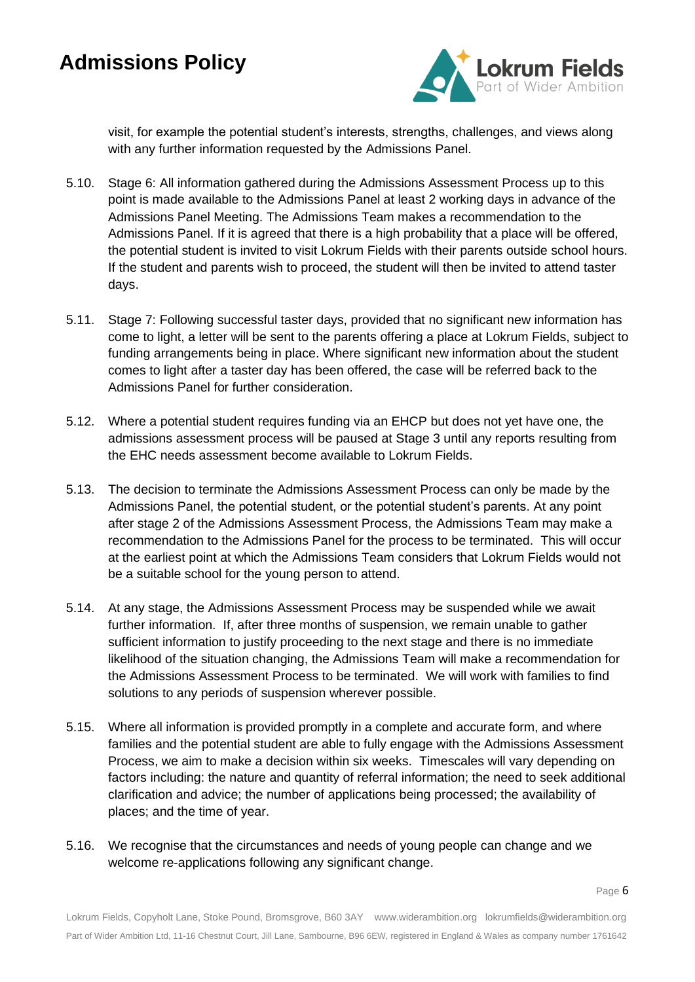

visit, for example the potential student's interests, strengths, challenges, and views along with any further information requested by the Admissions Panel.

- 5.10. Stage 6: All information gathered during the Admissions Assessment Process up to this point is made available to the Admissions Panel at least 2 working days in advance of the Admissions Panel Meeting. The Admissions Team makes a recommendation to the Admissions Panel. If it is agreed that there is a high probability that a place will be offered, the potential student is invited to visit Lokrum Fields with their parents outside school hours. If the student and parents wish to proceed, the student will then be invited to attend taster days.
- 5.11. Stage 7: Following successful taster days, provided that no significant new information has come to light, a letter will be sent to the parents offering a place at Lokrum Fields, subject to funding arrangements being in place. Where significant new information about the student comes to light after a taster day has been offered, the case will be referred back to the Admissions Panel for further consideration.
- 5.12. Where a potential student requires funding via an EHCP but does not yet have one, the admissions assessment process will be paused at Stage 3 until any reports resulting from the EHC needs assessment become available to Lokrum Fields.
- 5.13. The decision to terminate the Admissions Assessment Process can only be made by the Admissions Panel, the potential student, or the potential student's parents. At any point after stage 2 of the Admissions Assessment Process, the Admissions Team may make a recommendation to the Admissions Panel for the process to be terminated. This will occur at the earliest point at which the Admissions Team considers that Lokrum Fields would not be a suitable school for the young person to attend.
- 5.14. At any stage, the Admissions Assessment Process may be suspended while we await further information. If, after three months of suspension, we remain unable to gather sufficient information to justify proceeding to the next stage and there is no immediate likelihood of the situation changing, the Admissions Team will make a recommendation for the Admissions Assessment Process to be terminated. We will work with families to find solutions to any periods of suspension wherever possible.
- 5.15. Where all information is provided promptly in a complete and accurate form, and where families and the potential student are able to fully engage with the Admissions Assessment Process, we aim to make a decision within six weeks. Timescales will vary depending on factors including: the nature and quantity of referral information; the need to seek additional clarification and advice; the number of applications being processed; the availability of places; and the time of year.
- 5.16. We recognise that the circumstances and needs of young people can change and we welcome re-applications following any significant change.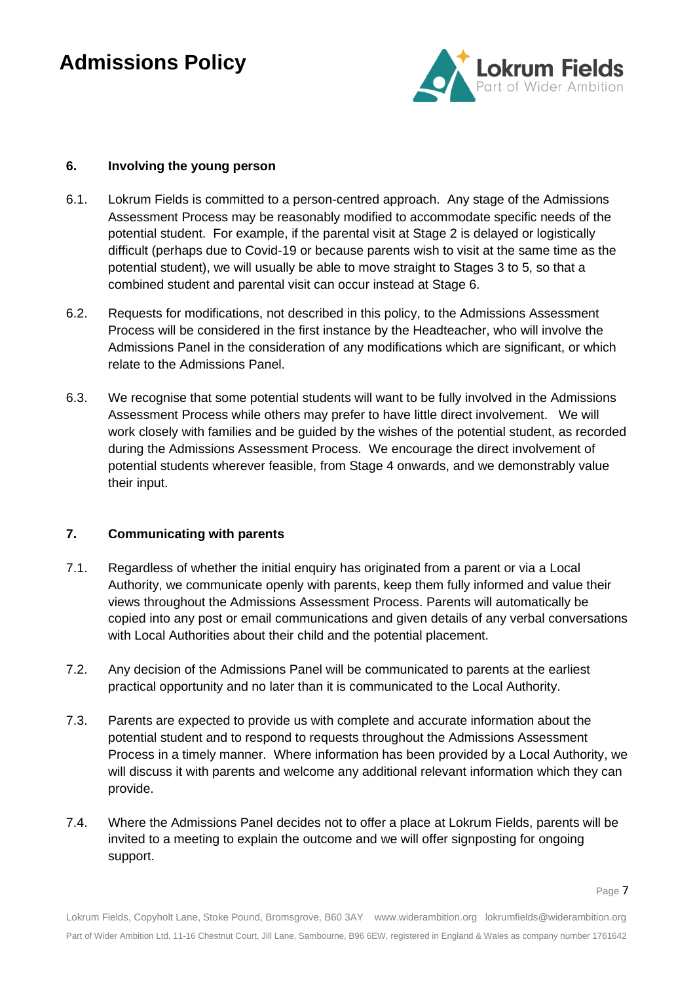

### **6. Involving the young person**

- 6.1. Lokrum Fields is committed to a person-centred approach. Any stage of the Admissions Assessment Process may be reasonably modified to accommodate specific needs of the potential student. For example, if the parental visit at Stage 2 is delayed or logistically difficult (perhaps due to Covid-19 or because parents wish to visit at the same time as the potential student), we will usually be able to move straight to Stages 3 to 5, so that a combined student and parental visit can occur instead at Stage 6.
- 6.2. Requests for modifications, not described in this policy, to the Admissions Assessment Process will be considered in the first instance by the Headteacher, who will involve the Admissions Panel in the consideration of any modifications which are significant, or which relate to the Admissions Panel.
- 6.3. We recognise that some potential students will want to be fully involved in the Admissions Assessment Process while others may prefer to have little direct involvement. We will work closely with families and be guided by the wishes of the potential student, as recorded during the Admissions Assessment Process. We encourage the direct involvement of potential students wherever feasible, from Stage 4 onwards, and we demonstrably value their input.

#### **7. Communicating with parents**

- 7.1. Regardless of whether the initial enquiry has originated from a parent or via a Local Authority, we communicate openly with parents, keep them fully informed and value their views throughout the Admissions Assessment Process. Parents will automatically be copied into any post or email communications and given details of any verbal conversations with Local Authorities about their child and the potential placement.
- 7.2. Any decision of the Admissions Panel will be communicated to parents at the earliest practical opportunity and no later than it is communicated to the Local Authority.
- 7.3. Parents are expected to provide us with complete and accurate information about the potential student and to respond to requests throughout the Admissions Assessment Process in a timely manner. Where information has been provided by a Local Authority, we will discuss it with parents and welcome any additional relevant information which they can provide.
- 7.4. Where the Admissions Panel decides not to offer a place at Lokrum Fields, parents will be invited to a meeting to explain the outcome and we will offer signposting for ongoing support.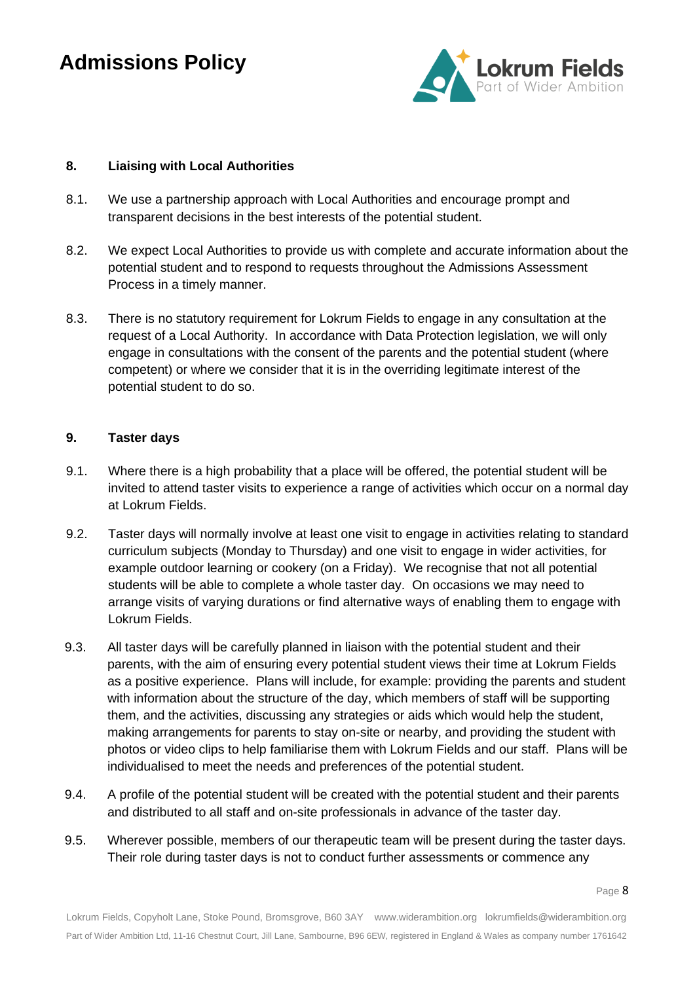

### **8. Liaising with Local Authorities**

- 8.1. We use a partnership approach with Local Authorities and encourage prompt and transparent decisions in the best interests of the potential student.
- 8.2. We expect Local Authorities to provide us with complete and accurate information about the potential student and to respond to requests throughout the Admissions Assessment Process in a timely manner.
- 8.3. There is no statutory requirement for Lokrum Fields to engage in any consultation at the request of a Local Authority. In accordance with Data Protection legislation, we will only engage in consultations with the consent of the parents and the potential student (where competent) or where we consider that it is in the overriding legitimate interest of the potential student to do so.

#### **9. Taster days**

- 9.1. Where there is a high probability that a place will be offered, the potential student will be invited to attend taster visits to experience a range of activities which occur on a normal day at Lokrum Fields.
- 9.2. Taster days will normally involve at least one visit to engage in activities relating to standard curriculum subjects (Monday to Thursday) and one visit to engage in wider activities, for example outdoor learning or cookery (on a Friday). We recognise that not all potential students will be able to complete a whole taster day. On occasions we may need to arrange visits of varying durations or find alternative ways of enabling them to engage with Lokrum Fields.
- 9.3. All taster days will be carefully planned in liaison with the potential student and their parents, with the aim of ensuring every potential student views their time at Lokrum Fields as a positive experience. Plans will include, for example: providing the parents and student with information about the structure of the day, which members of staff will be supporting them, and the activities, discussing any strategies or aids which would help the student, making arrangements for parents to stay on-site or nearby, and providing the student with photos or video clips to help familiarise them with Lokrum Fields and our staff. Plans will be individualised to meet the needs and preferences of the potential student.
- 9.4. A profile of the potential student will be created with the potential student and their parents and distributed to all staff and on-site professionals in advance of the taster day.
- 9.5. Wherever possible, members of our therapeutic team will be present during the taster days. Their role during taster days is not to conduct further assessments or commence any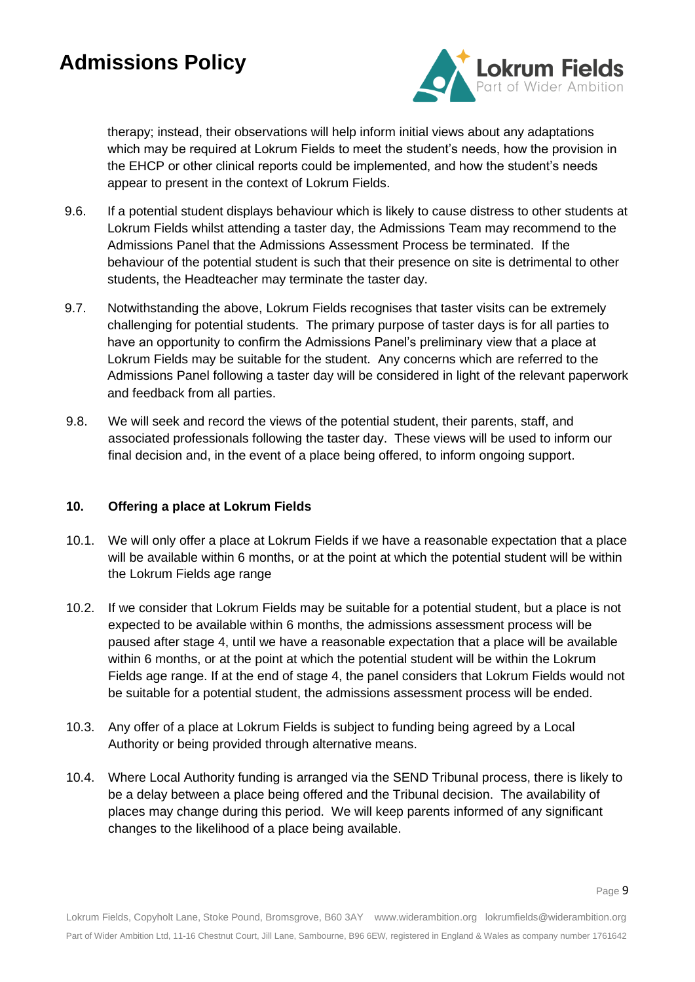

therapy; instead, their observations will help inform initial views about any adaptations which may be required at Lokrum Fields to meet the student's needs, how the provision in the EHCP or other clinical reports could be implemented, and how the student's needs appear to present in the context of Lokrum Fields.

- 9.6. If a potential student displays behaviour which is likely to cause distress to other students at Lokrum Fields whilst attending a taster day, the Admissions Team may recommend to the Admissions Panel that the Admissions Assessment Process be terminated. If the behaviour of the potential student is such that their presence on site is detrimental to other students, the Headteacher may terminate the taster day.
- 9.7. Notwithstanding the above, Lokrum Fields recognises that taster visits can be extremely challenging for potential students. The primary purpose of taster days is for all parties to have an opportunity to confirm the Admissions Panel's preliminary view that a place at Lokrum Fields may be suitable for the student. Any concerns which are referred to the Admissions Panel following a taster day will be considered in light of the relevant paperwork and feedback from all parties.
- 9.8. We will seek and record the views of the potential student, their parents, staff, and associated professionals following the taster day. These views will be used to inform our final decision and, in the event of a place being offered, to inform ongoing support.

### **10. Offering a place at Lokrum Fields**

- 10.1. We will only offer a place at Lokrum Fields if we have a reasonable expectation that a place will be available within 6 months, or at the point at which the potential student will be within the Lokrum Fields age range
- 10.2. If we consider that Lokrum Fields may be suitable for a potential student, but a place is not expected to be available within 6 months, the admissions assessment process will be paused after stage 4, until we have a reasonable expectation that a place will be available within 6 months, or at the point at which the potential student will be within the Lokrum Fields age range. If at the end of stage 4, the panel considers that Lokrum Fields would not be suitable for a potential student, the admissions assessment process will be ended.
- 10.3. Any offer of a place at Lokrum Fields is subject to funding being agreed by a Local Authority or being provided through alternative means.
- 10.4. Where Local Authority funding is arranged via the SEND Tribunal process, there is likely to be a delay between a place being offered and the Tribunal decision. The availability of places may change during this period. We will keep parents informed of any significant changes to the likelihood of a place being available.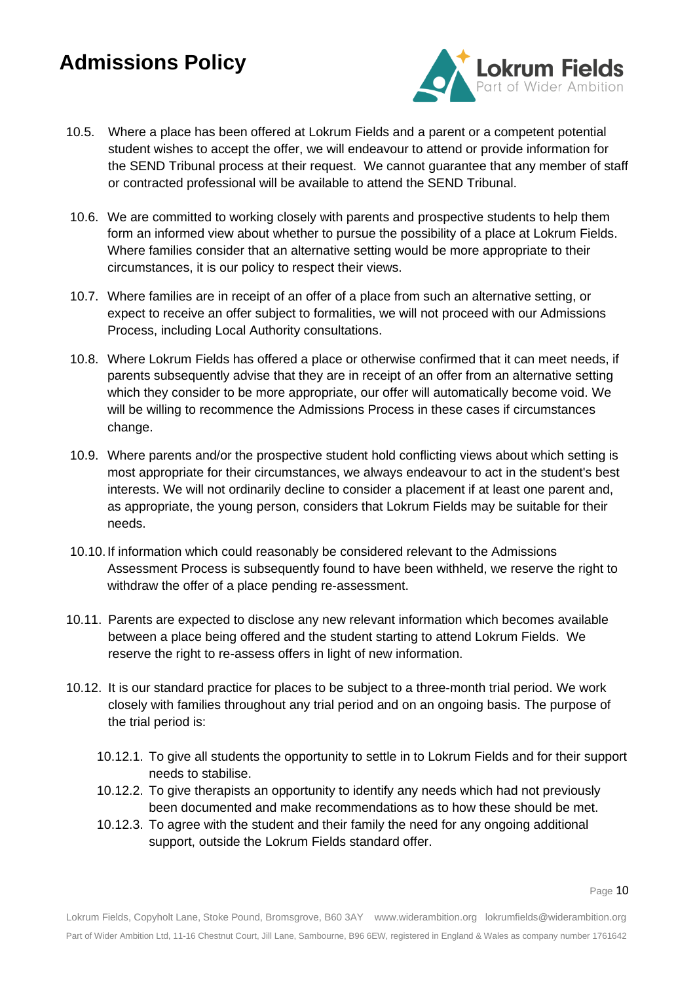

- 10.5. Where a place has been offered at Lokrum Fields and a parent or a competent potential student wishes to accept the offer, we will endeavour to attend or provide information for the SEND Tribunal process at their request. We cannot guarantee that any member of staff or contracted professional will be available to attend the SEND Tribunal.
- 10.6. We are committed to working closely with parents and prospective students to help them form an informed view about whether to pursue the possibility of a place at Lokrum Fields. Where families consider that an alternative setting would be more appropriate to their circumstances, it is our policy to respect their views.
- 10.7. Where families are in receipt of an offer of a place from such an alternative setting, or expect to receive an offer subject to formalities, we will not proceed with our Admissions Process, including Local Authority consultations.
- 10.8. Where Lokrum Fields has offered a place or otherwise confirmed that it can meet needs, if parents subsequently advise that they are in receipt of an offer from an alternative setting which they consider to be more appropriate, our offer will automatically become void. We will be willing to recommence the Admissions Process in these cases if circumstances change.
- 10.9. Where parents and/or the prospective student hold conflicting views about which setting is most appropriate for their circumstances, we always endeavour to act in the student's best interests. We will not ordinarily decline to consider a placement if at least one parent and, as appropriate, the young person, considers that Lokrum Fields may be suitable for their needs.
- 10.10.If information which could reasonably be considered relevant to the Admissions Assessment Process is subsequently found to have been withheld, we reserve the right to withdraw the offer of a place pending re-assessment.
- 10.11. Parents are expected to disclose any new relevant information which becomes available between a place being offered and the student starting to attend Lokrum Fields. We reserve the right to re-assess offers in light of new information.
- 10.12. It is our standard practice for places to be subject to a three-month trial period. We work closely with families throughout any trial period and on an ongoing basis. The purpose of the trial period is:
	- 10.12.1. To give all students the opportunity to settle in to Lokrum Fields and for their support needs to stabilise.
	- 10.12.2. To give therapists an opportunity to identify any needs which had not previously been documented and make recommendations as to how these should be met.
	- 10.12.3. To agree with the student and their family the need for any ongoing additional support, outside the Lokrum Fields standard offer.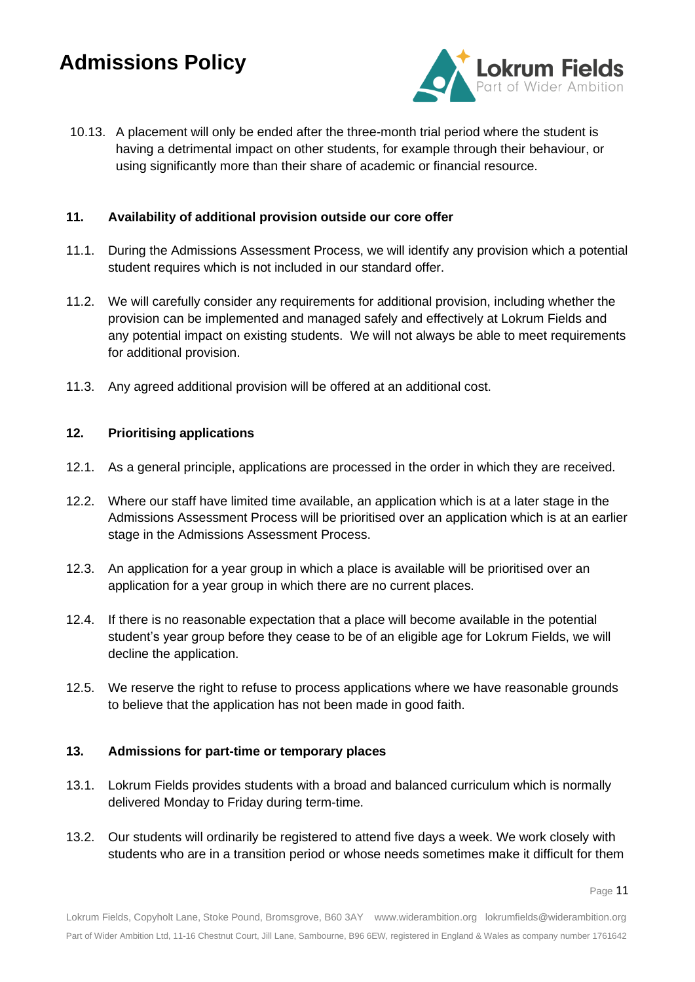

10.13. A placement will only be ended after the three-month trial period where the student is having a detrimental impact on other students, for example through their behaviour, or using significantly more than their share of academic or financial resource.

### **11. Availability of additional provision outside our core offer**

- 11.1. During the Admissions Assessment Process, we will identify any provision which a potential student requires which is not included in our standard offer.
- 11.2. We will carefully consider any requirements for additional provision, including whether the provision can be implemented and managed safely and effectively at Lokrum Fields and any potential impact on existing students. We will not always be able to meet requirements for additional provision.
- 11.3. Any agreed additional provision will be offered at an additional cost.

### **12. Prioritising applications**

- 12.1. As a general principle, applications are processed in the order in which they are received.
- 12.2. Where our staff have limited time available, an application which is at a later stage in the Admissions Assessment Process will be prioritised over an application which is at an earlier stage in the Admissions Assessment Process.
- 12.3. An application for a year group in which a place is available will be prioritised over an application for a year group in which there are no current places.
- 12.4. If there is no reasonable expectation that a place will become available in the potential student's year group before they cease to be of an eligible age for Lokrum Fields, we will decline the application.
- 12.5. We reserve the right to refuse to process applications where we have reasonable grounds to believe that the application has not been made in good faith.

### **13. Admissions for part-time or temporary places**

- 13.1. Lokrum Fields provides students with a broad and balanced curriculum which is normally delivered Monday to Friday during term-time.
- 13.2. Our students will ordinarily be registered to attend five days a week. We work closely with students who are in a transition period or whose needs sometimes make it difficult for them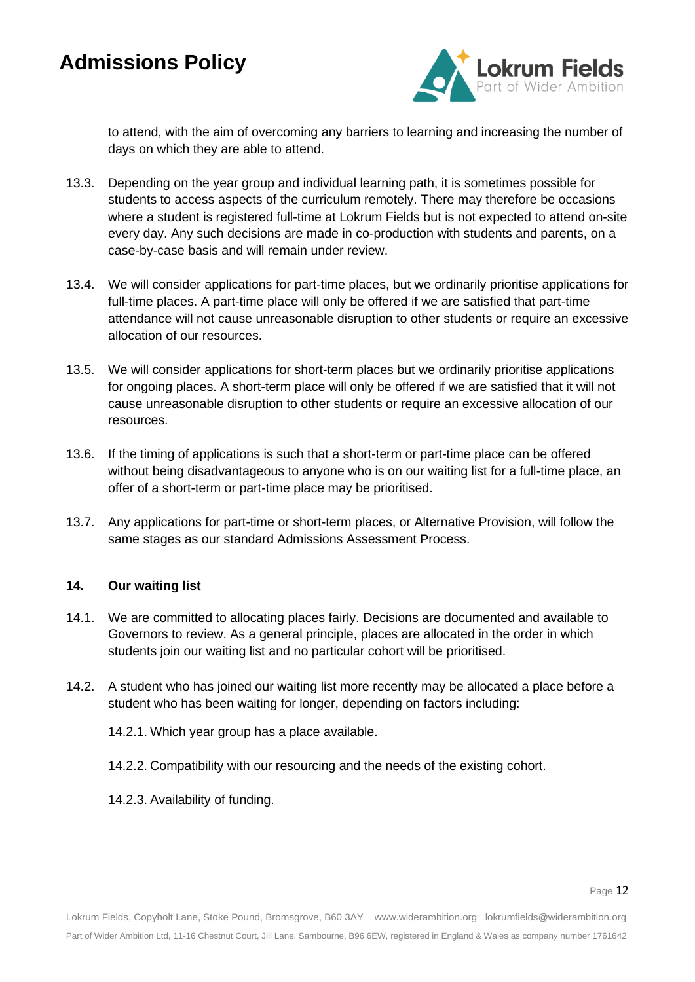

to attend, with the aim of overcoming any barriers to learning and increasing the number of days on which they are able to attend.

- 13.3. Depending on the year group and individual learning path, it is sometimes possible for students to access aspects of the curriculum remotely. There may therefore be occasions where a student is registered full-time at Lokrum Fields but is not expected to attend on-site every day. Any such decisions are made in co-production with students and parents, on a case-by-case basis and will remain under review.
- 13.4. We will consider applications for part-time places, but we ordinarily prioritise applications for full-time places. A part-time place will only be offered if we are satisfied that part-time attendance will not cause unreasonable disruption to other students or require an excessive allocation of our resources.
- 13.5. We will consider applications for short-term places but we ordinarily prioritise applications for ongoing places. A short-term place will only be offered if we are satisfied that it will not cause unreasonable disruption to other students or require an excessive allocation of our resources.
- 13.6. If the timing of applications is such that a short-term or part-time place can be offered without being disadvantageous to anyone who is on our waiting list for a full-time place, an offer of a short-term or part-time place may be prioritised.
- 13.7. Any applications for part-time or short-term places, or Alternative Provision, will follow the same stages as our standard Admissions Assessment Process.

### **14. Our waiting list**

- 14.1. We are committed to allocating places fairly. Decisions are documented and available to Governors to review. As a general principle, places are allocated in the order in which students join our waiting list and no particular cohort will be prioritised.
- 14.2. A student who has joined our waiting list more recently may be allocated a place before a student who has been waiting for longer, depending on factors including:

14.2.1. Which year group has a place available.

14.2.2. Compatibility with our resourcing and the needs of the existing cohort.

14.2.3. Availability of funding.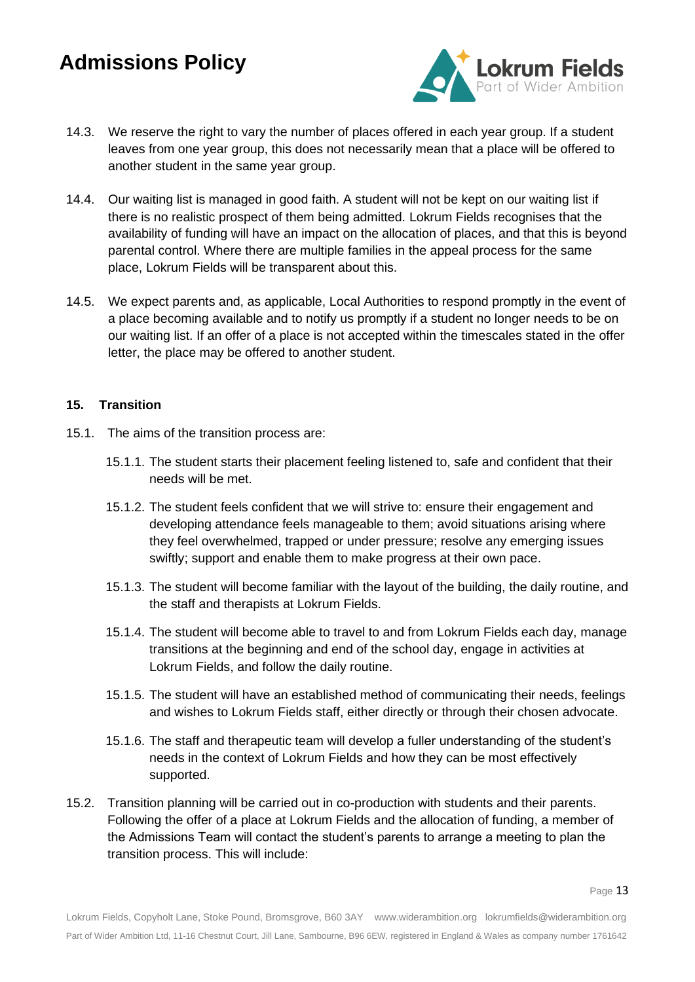

- 14.3. We reserve the right to vary the number of places offered in each year group. If a student leaves from one year group, this does not necessarily mean that a place will be offered to another student in the same year group.
- 14.4. Our waiting list is managed in good faith. A student will not be kept on our waiting list if there is no realistic prospect of them being admitted. Lokrum Fields recognises that the availability of funding will have an impact on the allocation of places, and that this is beyond parental control. Where there are multiple families in the appeal process for the same place, Lokrum Fields will be transparent about this.
- 14.5. We expect parents and, as applicable, Local Authorities to respond promptly in the event of a place becoming available and to notify us promptly if a student no longer needs to be on our waiting list. If an offer of a place is not accepted within the timescales stated in the offer letter, the place may be offered to another student.

### **15. Transition**

- 15.1. The aims of the transition process are:
	- 15.1.1. The student starts their placement feeling listened to, safe and confident that their needs will be met.
	- 15.1.2. The student feels confident that we will strive to: ensure their engagement and developing attendance feels manageable to them; avoid situations arising where they feel overwhelmed, trapped or under pressure; resolve any emerging issues swiftly; support and enable them to make progress at their own pace.
	- 15.1.3. The student will become familiar with the layout of the building, the daily routine, and the staff and therapists at Lokrum Fields.
	- 15.1.4. The student will become able to travel to and from Lokrum Fields each day, manage transitions at the beginning and end of the school day, engage in activities at Lokrum Fields, and follow the daily routine.
	- 15.1.5. The student will have an established method of communicating their needs, feelings and wishes to Lokrum Fields staff, either directly or through their chosen advocate.
	- 15.1.6. The staff and therapeutic team will develop a fuller understanding of the student's needs in the context of Lokrum Fields and how they can be most effectively supported.
- 15.2. Transition planning will be carried out in co-production with students and their parents. Following the offer of a place at Lokrum Fields and the allocation of funding, a member of the Admissions Team will contact the student's parents to arrange a meeting to plan the transition process. This will include: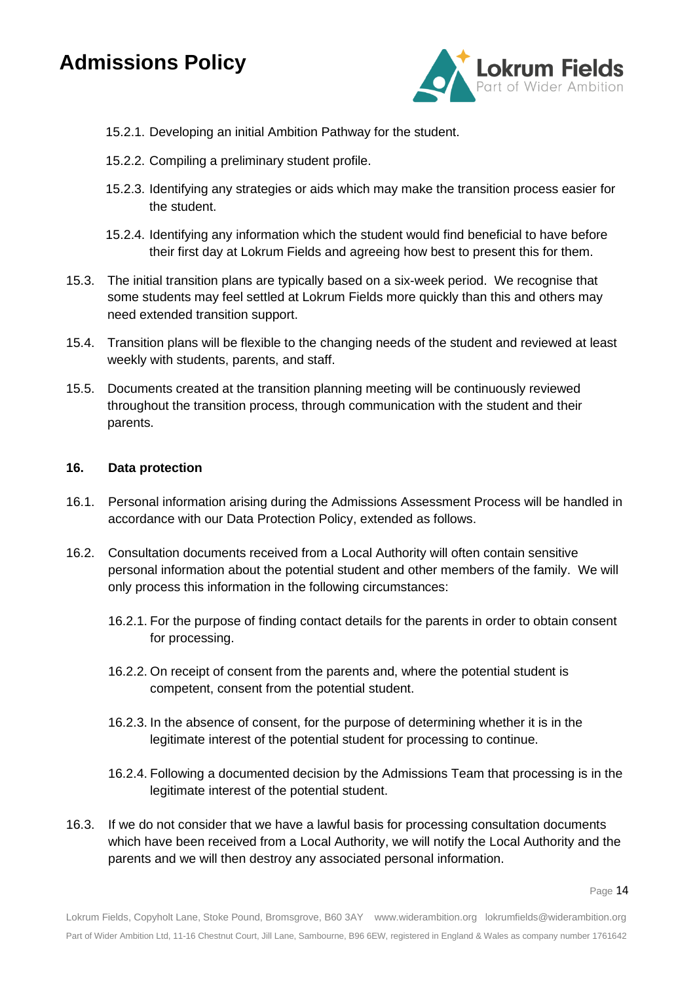

- 15.2.1. Developing an initial Ambition Pathway for the student.
- 15.2.2. Compiling a preliminary student profile.
- 15.2.3. Identifying any strategies or aids which may make the transition process easier for the student.
- 15.2.4. Identifying any information which the student would find beneficial to have before their first day at Lokrum Fields and agreeing how best to present this for them.
- 15.3. The initial transition plans are typically based on a six-week period. We recognise that some students may feel settled at Lokrum Fields more quickly than this and others may need extended transition support.
- 15.4. Transition plans will be flexible to the changing needs of the student and reviewed at least weekly with students, parents, and staff.
- 15.5. Documents created at the transition planning meeting will be continuously reviewed throughout the transition process, through communication with the student and their parents.

### **16. Data protection**

- 16.1. Personal information arising during the Admissions Assessment Process will be handled in accordance with our Data Protection Policy, extended as follows.
- 16.2. Consultation documents received from a Local Authority will often contain sensitive personal information about the potential student and other members of the family. We will only process this information in the following circumstances:
	- 16.2.1. For the purpose of finding contact details for the parents in order to obtain consent for processing.
	- 16.2.2. On receipt of consent from the parents and, where the potential student is competent, consent from the potential student.
	- 16.2.3. In the absence of consent, for the purpose of determining whether it is in the legitimate interest of the potential student for processing to continue.
	- 16.2.4. Following a documented decision by the Admissions Team that processing is in the legitimate interest of the potential student.
- 16.3. If we do not consider that we have a lawful basis for processing consultation documents which have been received from a Local Authority, we will notify the Local Authority and the parents and we will then destroy any associated personal information.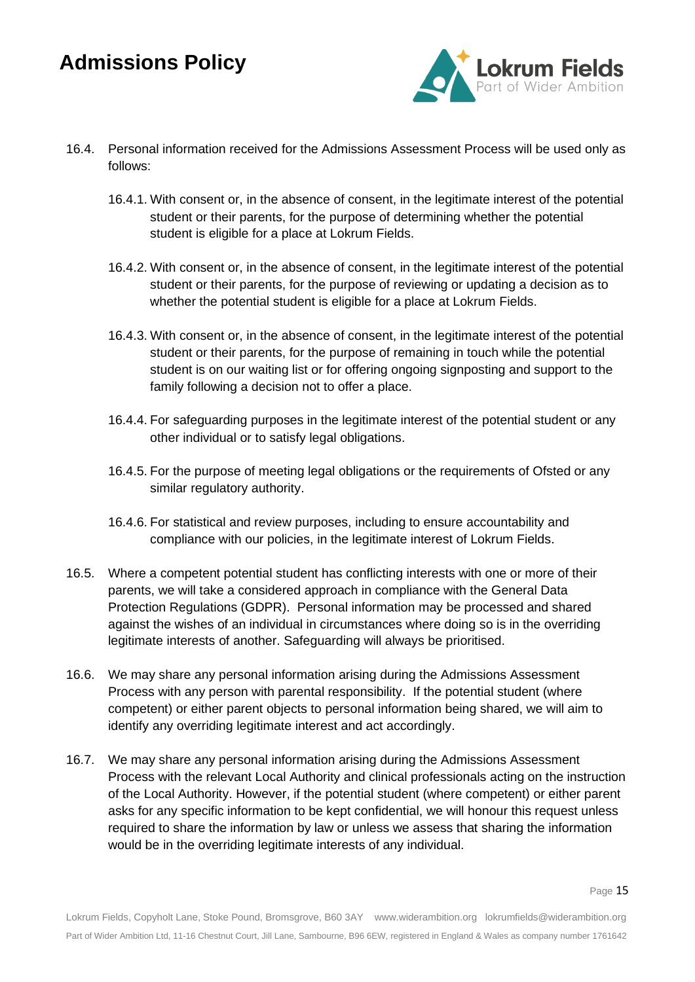

- 16.4. Personal information received for the Admissions Assessment Process will be used only as follows:
	- 16.4.1. With consent or, in the absence of consent, in the legitimate interest of the potential student or their parents, for the purpose of determining whether the potential student is eligible for a place at Lokrum Fields.
	- 16.4.2. With consent or, in the absence of consent, in the legitimate interest of the potential student or their parents, for the purpose of reviewing or updating a decision as to whether the potential student is eligible for a place at Lokrum Fields.
	- 16.4.3. With consent or, in the absence of consent, in the legitimate interest of the potential student or their parents, for the purpose of remaining in touch while the potential student is on our waiting list or for offering ongoing signposting and support to the family following a decision not to offer a place.
	- 16.4.4. For safeguarding purposes in the legitimate interest of the potential student or any other individual or to satisfy legal obligations.
	- 16.4.5. For the purpose of meeting legal obligations or the requirements of Ofsted or any similar regulatory authority.
	- 16.4.6. For statistical and review purposes, including to ensure accountability and compliance with our policies, in the legitimate interest of Lokrum Fields.
- 16.5. Where a competent potential student has conflicting interests with one or more of their parents, we will take a considered approach in compliance with the General Data Protection Regulations (GDPR). Personal information may be processed and shared against the wishes of an individual in circumstances where doing so is in the overriding legitimate interests of another. Safeguarding will always be prioritised.
- 16.6. We may share any personal information arising during the Admissions Assessment Process with any person with parental responsibility. If the potential student (where competent) or either parent objects to personal information being shared, we will aim to identify any overriding legitimate interest and act accordingly.
- 16.7. We may share any personal information arising during the Admissions Assessment Process with the relevant Local Authority and clinical professionals acting on the instruction of the Local Authority. However, if the potential student (where competent) or either parent asks for any specific information to be kept confidential, we will honour this request unless required to share the information by law or unless we assess that sharing the information would be in the overriding legitimate interests of any individual.